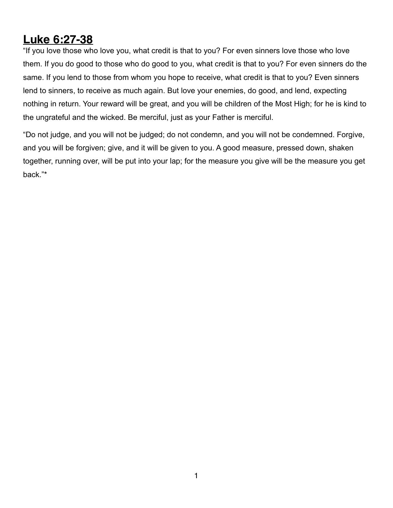## **Luke 6:27-38**

"If you love those who love you, what credit is that to you? For even sinners love those who love them. If you do good to those who do good to you, what credit is that to you? For even sinners do the same. If you lend to those from whom you hope to receive, what credit is that to you? Even sinners lend to sinners, to receive as much again. But love your enemies, do good, and lend, expecting nothing in return. Your reward will be great, and you will be children of the Most High; for he is kind to the ungrateful and the wicked. Be merciful, just as your Father is merciful.

"Do not judge, and you will not be judged; do not condemn, and you will not be condemned. Forgive, and you will be forgiven; give, and it will be given to you. A good measure, pressed down, shaken together, running over, will be put into your lap; for the measure you give will be the measure you get back."\*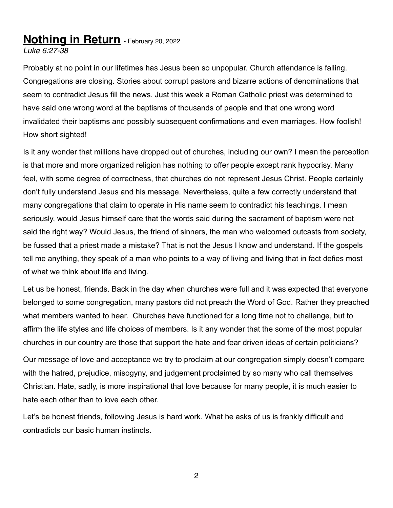## **Nothing in Return** - February 20, 2022

*Luke 6:27-38*

Probably at no point in our lifetimes has Jesus been so unpopular. Church attendance is falling. Congregations are closing. Stories about corrupt pastors and bizarre actions of denominations that seem to contradict Jesus fill the news. Just this week a Roman Catholic priest was determined to have said one wrong word at the baptisms of thousands of people and that one wrong word invalidated their baptisms and possibly subsequent confirmations and even marriages. How foolish! How short sighted!

Is it any wonder that millions have dropped out of churches, including our own? I mean the perception is that more and more organized religion has nothing to offer people except rank hypocrisy. Many feel, with some degree of correctness, that churches do not represent Jesus Christ. People certainly don't fully understand Jesus and his message. Nevertheless, quite a few correctly understand that many congregations that claim to operate in His name seem to contradict his teachings. I mean seriously, would Jesus himself care that the words said during the sacrament of baptism were not said the right way? Would Jesus, the friend of sinners, the man who welcomed outcasts from society, be fussed that a priest made a mistake? That is not the Jesus I know and understand. If the gospels tell me anything, they speak of a man who points to a way of living and living that in fact defies most of what we think about life and living.

Let us be honest, friends. Back in the day when churches were full and it was expected that everyone belonged to some congregation, many pastors did not preach the Word of God. Rather they preached what members wanted to hear. Churches have functioned for a long time not to challenge, but to affirm the life styles and life choices of members. Is it any wonder that the some of the most popular churches in our country are those that support the hate and fear driven ideas of certain politicians?

Our message of love and acceptance we try to proclaim at our congregation simply doesn't compare with the hatred, prejudice, misogyny, and judgement proclaimed by so many who call themselves Christian. Hate, sadly, is more inspirational that love because for many people, it is much easier to hate each other than to love each other.

Let's be honest friends, following Jesus is hard work. What he asks of us is frankly difficult and contradicts our basic human instincts.

2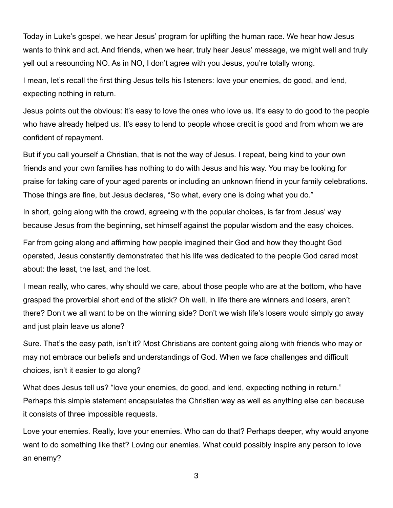Today in Luke's gospel, we hear Jesus' program for uplifting the human race. We hear how Jesus wants to think and act. And friends, when we hear, truly hear Jesus' message, we might well and truly yell out a resounding NO. As in NO, I don't agree with you Jesus, you're totally wrong.

I mean, let's recall the first thing Jesus tells his listeners: love your enemies, do good, and lend, expecting nothing in return.

Jesus points out the obvious: it's easy to love the ones who love us. It's easy to do good to the people who have already helped us. It's easy to lend to people whose credit is good and from whom we are confident of repayment.

But if you call yourself a Christian, that is not the way of Jesus. I repeat, being kind to your own friends and your own families has nothing to do with Jesus and his way. You may be looking for praise for taking care of your aged parents or including an unknown friend in your family celebrations. Those things are fine, but Jesus declares, "So what, every one is doing what you do."

In short, going along with the crowd, agreeing with the popular choices, is far from Jesus' way because Jesus from the beginning, set himself against the popular wisdom and the easy choices.

Far from going along and affirming how people imagined their God and how they thought God operated, Jesus constantly demonstrated that his life was dedicated to the people God cared most about: the least, the last, and the lost.

I mean really, who cares, why should we care, about those people who are at the bottom, who have grasped the proverbial short end of the stick? Oh well, in life there are winners and losers, aren't there? Don't we all want to be on the winning side? Don't we wish life's losers would simply go away and just plain leave us alone?

Sure. That's the easy path, isn't it? Most Christians are content going along with friends who may or may not embrace our beliefs and understandings of God. When we face challenges and difficult choices, isn't it easier to go along?

What does Jesus tell us? "love your enemies, do good, and lend, expecting nothing in return." Perhaps this simple statement encapsulates the Christian way as well as anything else can because it consists of three impossible requests.

Love your enemies. Really, love your enemies. Who can do that? Perhaps deeper, why would anyone want to do something like that? Loving our enemies. What could possibly inspire any person to love an enemy?

3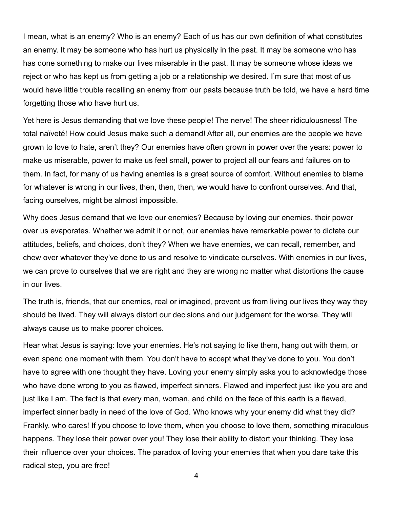I mean, what is an enemy? Who is an enemy? Each of us has our own definition of what constitutes an enemy. It may be someone who has hurt us physically in the past. It may be someone who has has done something to make our lives miserable in the past. It may be someone whose ideas we reject or who has kept us from getting a job or a relationship we desired. I'm sure that most of us would have little trouble recalling an enemy from our pasts because truth be told, we have a hard time forgetting those who have hurt us.

Yet here is Jesus demanding that we love these people! The nerve! The sheer ridiculousness! The total naïveté! How could Jesus make such a demand! After all, our enemies are the people we have grown to love to hate, aren't they? Our enemies have often grown in power over the years: power to make us miserable, power to make us feel small, power to project all our fears and failures on to them. In fact, for many of us having enemies is a great source of comfort. Without enemies to blame for whatever is wrong in our lives, then, then, then, we would have to confront ourselves. And that, facing ourselves, might be almost impossible.

Why does Jesus demand that we love our enemies? Because by loving our enemies, their power over us evaporates. Whether we admit it or not, our enemies have remarkable power to dictate our attitudes, beliefs, and choices, don't they? When we have enemies, we can recall, remember, and chew over whatever they've done to us and resolve to vindicate ourselves. With enemies in our lives, we can prove to ourselves that we are right and they are wrong no matter what distortions the cause in our lives.

The truth is, friends, that our enemies, real or imagined, prevent us from living our lives they way they should be lived. They will always distort our decisions and our judgement for the worse. They will always cause us to make poorer choices.

Hear what Jesus is saying: love your enemies. He's not saying to like them, hang out with them, or even spend one moment with them. You don't have to accept what they've done to you. You don't have to agree with one thought they have. Loving your enemy simply asks you to acknowledge those who have done wrong to you as flawed, imperfect sinners. Flawed and imperfect just like you are and just like I am. The fact is that every man, woman, and child on the face of this earth is a flawed, imperfect sinner badly in need of the love of God. Who knows why your enemy did what they did? Frankly, who cares! If you choose to love them, when you choose to love them, something miraculous happens. They lose their power over you! They lose their ability to distort your thinking. They lose their influence over your choices. The paradox of loving your enemies that when you dare take this radical step, you are free!

4